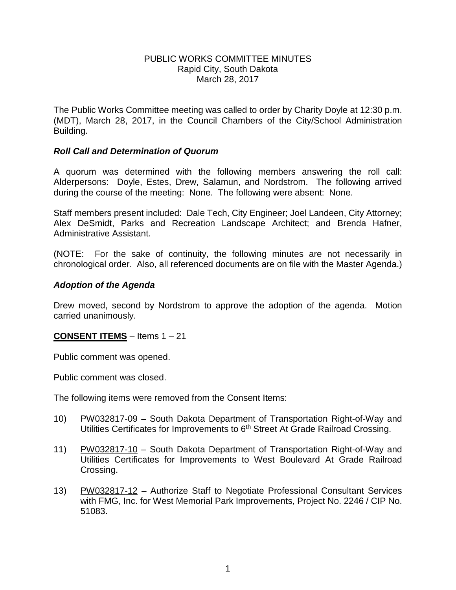### PUBLIC WORKS COMMITTEE MINUTES Rapid City, South Dakota March 28, 2017

The Public Works Committee meeting was called to order by Charity Doyle at 12:30 p.m. (MDT), March 28, 2017, in the Council Chambers of the City/School Administration Building.

## *Roll Call and Determination of Quorum*

A quorum was determined with the following members answering the roll call: Alderpersons: Doyle, Estes, Drew, Salamun, and Nordstrom. The following arrived during the course of the meeting: None. The following were absent: None.

Staff members present included: Dale Tech, City Engineer; Joel Landeen, City Attorney; Alex DeSmidt, Parks and Recreation Landscape Architect; and Brenda Hafner, Administrative Assistant.

(NOTE: For the sake of continuity, the following minutes are not necessarily in chronological order. Also, all referenced documents are on file with the Master Agenda.)

### *Adoption of the Agenda*

Drew moved, second by Nordstrom to approve the adoption of the agenda. Motion carried unanimously.

#### **CONSENT ITEMS** – Items 1 – 21

Public comment was opened.

Public comment was closed.

The following items were removed from the Consent Items:

- 10) PW032817-09 South Dakota Department of Transportation Right-of-Way and Utilities Certificates for Improvements to 6<sup>th</sup> Street At Grade Railroad Crossing.
- 11) PW032817-10 South Dakota Department of Transportation Right-of-Way and Utilities Certificates for Improvements to West Boulevard At Grade Railroad Crossing.
- 13) PW032817-12 Authorize Staff to Negotiate Professional Consultant Services with FMG, Inc. for West Memorial Park Improvements, Project No. 2246 / CIP No. 51083.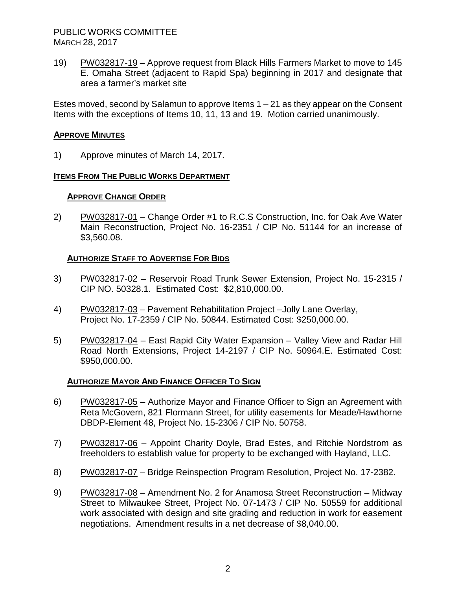PUBLIC WORKS COMMITTEE MARCH 28, 2017

19) PW032817-19 – Approve request from Black Hills Farmers Market to move to 145 E. Omaha Street (adjacent to Rapid Spa) beginning in 2017 and designate that area a farmer's market site

Estes moved, second by Salamun to approve Items  $1 - 21$  as they appear on the Consent Items with the exceptions of Items 10, 11, 13 and 19. Motion carried unanimously.

## **APPROVE MINUTES**

1) Approve minutes of March 14, 2017.

### **ITEMS FROM THE PUBLIC WORKS DEPARTMENT**

#### **APPROVE CHANGE ORDER**

2) PW032817-01 – Change Order #1 to R.C.S Construction, Inc. for Oak Ave Water Main Reconstruction, Project No. 16-2351 / CIP No. 51144 for an increase of \$3,560.08.

### **AUTHORIZE STAFF TO ADVERTISE FOR BIDS**

- 3) PW032817-02 Reservoir Road Trunk Sewer Extension, Project No. 15-2315 / CIP NO. 50328.1. Estimated Cost: \$2,810,000.00.
- 4) PW032817-03 Pavement Rehabilitation Project –Jolly Lane Overlay, Project No. 17-2359 / CIP No. 50844. Estimated Cost: \$250,000.00.
- 5) PW032817-04 East Rapid City Water Expansion Valley View and Radar Hill Road North Extensions, Project 14-2197 / CIP No. 50964.E. Estimated Cost: \$950,000.00.

#### **AUTHORIZE MAYOR AND FINANCE OFFICER TO SIGN**

- 6) PW032817-05 Authorize Mayor and Finance Officer to Sign an Agreement with Reta McGovern, 821 Flormann Street, for utility easements for Meade/Hawthorne DBDP-Element 48, Project No. 15-2306 / CIP No. 50758.
- 7) PW032817-06 Appoint Charity Doyle, Brad Estes, and Ritchie Nordstrom as freeholders to establish value for property to be exchanged with Hayland, LLC.
- 8) PW032817-07 Bridge Reinspection Program Resolution, Project No. 17-2382.
- 9) PW032817-08 Amendment No. 2 for Anamosa Street Reconstruction Midway Street to Milwaukee Street, Project No. 07-1473 / CIP No. 50559 for additional work associated with design and site grading and reduction in work for easement negotiations. Amendment results in a net decrease of \$8,040.00.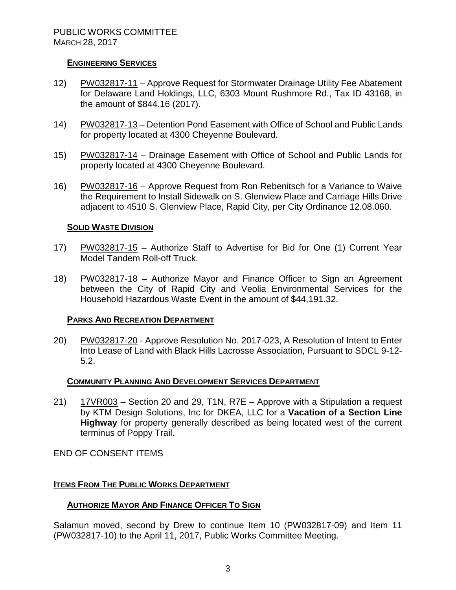### **ENGINEERING SERVICES**

- 12) PW032817-11 Approve Request for Stormwater Drainage Utility Fee Abatement for Delaware Land Holdings, LLC, 6303 Mount Rushmore Rd., Tax ID 43168, in the amount of \$844.16 (2017).
- 14) PW032817-13 Detention Pond Easement with Office of School and Public Lands for property located at 4300 Cheyenne Boulevard.
- 15) PW032817-14 Drainage Easement with Office of School and Public Lands for property located at 4300 Cheyenne Boulevard.
- 16) PW032817-16 Approve Request from Ron Rebenitsch for a Variance to Waive the Requirement to Install Sidewalk on S. Glenview Place and Carriage Hills Drive adjacent to 4510 S. Glenview Place, Rapid City, per City Ordinance 12.08.060.

### **SOLID WASTE DIVISION**

- 17) PW032817-15 Authorize Staff to Advertise for Bid for One (1) Current Year Model Tandem Roll-off Truck.
- 18) PW032817-18 Authorize Mayor and Finance Officer to Sign an Agreement between the City of Rapid City and Veolia Environmental Services for the Household Hazardous Waste Event in the amount of \$44,191.32.

#### **PARKS AND RECREATION DEPARTMENT**

20) PW032817-20 - Approve Resolution No. 2017-023, A Resolution of Intent to Enter Into Lease of Land with Black Hills Lacrosse Association, Pursuant to SDCL 9-12- 5.2.

#### **COMMUNITY PLANNING AND DEVELOPMENT SERVICES DEPARTMENT**

21) 17VR003 – Section 20 and 29, T1N, R7E – Approve with a Stipulation a request by KTM Design Solutions, Inc for DKEA, LLC for a **Vacation of a Section Line Highway** for property generally described as being located west of the current terminus of Poppy Trail.

END OF CONSENT ITEMS

## **ITEMS FROM THE PUBLIC WORKS DEPARTMENT**

#### **AUTHORIZE MAYOR AND FINANCE OFFICER TO SIGN**

Salamun moved, second by Drew to continue Item 10 (PW032817-09) and Item 11 (PW032817-10) to the April 11, 2017, Public Works Committee Meeting.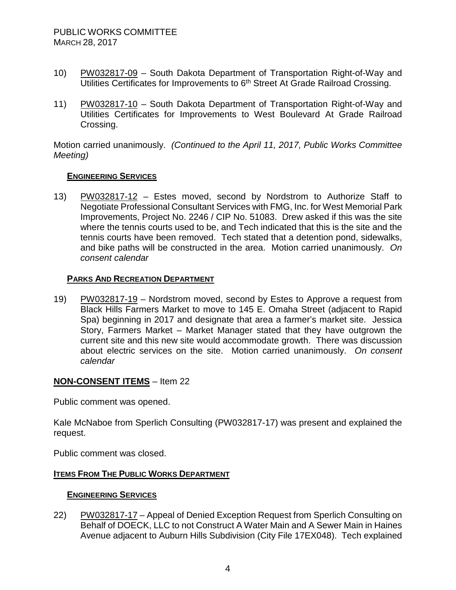- 10) PW032817-09 South Dakota Department of Transportation Right-of-Way and Utilities Certificates for Improvements to 6<sup>th</sup> Street At Grade Railroad Crossing.
- 11) PW032817-10 South Dakota Department of Transportation Right-of-Way and Utilities Certificates for Improvements to West Boulevard At Grade Railroad Crossing.

Motion carried unanimously. *(Continued to the April 11, 2017, Public Works Committee Meeting)*

### **ENGINEERING SERVICES**

13) PW032817-12 – Estes moved, second by Nordstrom to Authorize Staff to Negotiate Professional Consultant Services with FMG, Inc. for West Memorial Park Improvements, Project No. 2246 / CIP No. 51083. Drew asked if this was the site where the tennis courts used to be, and Tech indicated that this is the site and the tennis courts have been removed. Tech stated that a detention pond, sidewalks, and bike paths will be constructed in the area. Motion carried unanimously. *On consent calendar*

## **PARKS AND RECREATION DEPARTMENT**

19) PW032817-19 – Nordstrom moved, second by Estes to Approve a request from Black Hills Farmers Market to move to 145 E. Omaha Street (adjacent to Rapid Spa) beginning in 2017 and designate that area a farmer's market site. Jessica Story, Farmers Market – Market Manager stated that they have outgrown the current site and this new site would accommodate growth. There was discussion about electric services on the site. Motion carried unanimously. *On consent calendar*

## **NON-CONSENT ITEMS** – Item 22

Public comment was opened.

Kale McNaboe from Sperlich Consulting (PW032817-17) was present and explained the request.

Public comment was closed.

## **ITEMS FROM THE PUBLIC WORKS DEPARTMENT**

## **ENGINEERING SERVICES**

22) PW032817-17 – Appeal of Denied Exception Request from Sperlich Consulting on Behalf of DOECK, LLC to not Construct A Water Main and A Sewer Main in Haines Avenue adjacent to Auburn Hills Subdivision (City File 17EX048). Tech explained